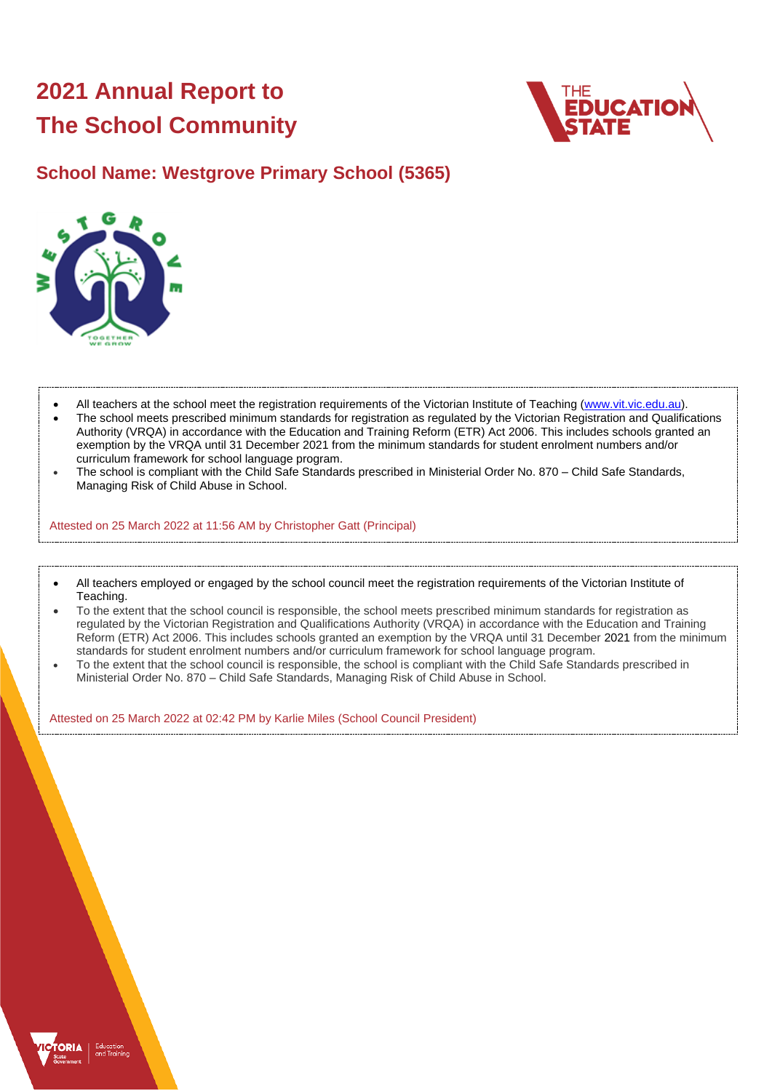# **2021 Annual Report to The School Community**



### **School Name: Westgrove Primary School (5365)**



- All teachers at the school meet the registration requirements of the Victorian Institute of Teaching [\(www.vit.vic.edu.au\)](https://www.vit.vic.edu.au/).
- The school meets prescribed minimum standards for registration as regulated by the Victorian Registration and Qualifications Authority (VRQA) in accordance with the Education and Training Reform (ETR) Act 2006. This includes schools granted an exemption by the VRQA until 31 December 2021 from the minimum standards for student enrolment numbers and/or curriculum framework for school language program.
- The school is compliant with the Child Safe Standards prescribed in Ministerial Order No. 870 Child Safe Standards, Managing Risk of Child Abuse in School.

Attested on 25 March 2022 at 11:56 AM by Christopher Gatt (Principal)

- All teachers employed or engaged by the school council meet the registration requirements of the Victorian Institute of Teaching.
- To the extent that the school council is responsible, the school meets prescribed minimum standards for registration as regulated by the Victorian Registration and Qualifications Authority (VRQA) in accordance with the Education and Training Reform (ETR) Act 2006. This includes schools granted an exemption by the VRQA until 31 December 2021 from the minimum standards for student enrolment numbers and/or curriculum framework for school language program.
- To the extent that the school council is responsible, the school is compliant with the Child Safe Standards prescribed in Ministerial Order No. 870 – Child Safe Standards, Managing Risk of Child Abuse in School.

Attested on 25 March 2022 at 02:42 PM by Karlie Miles (School Council President)

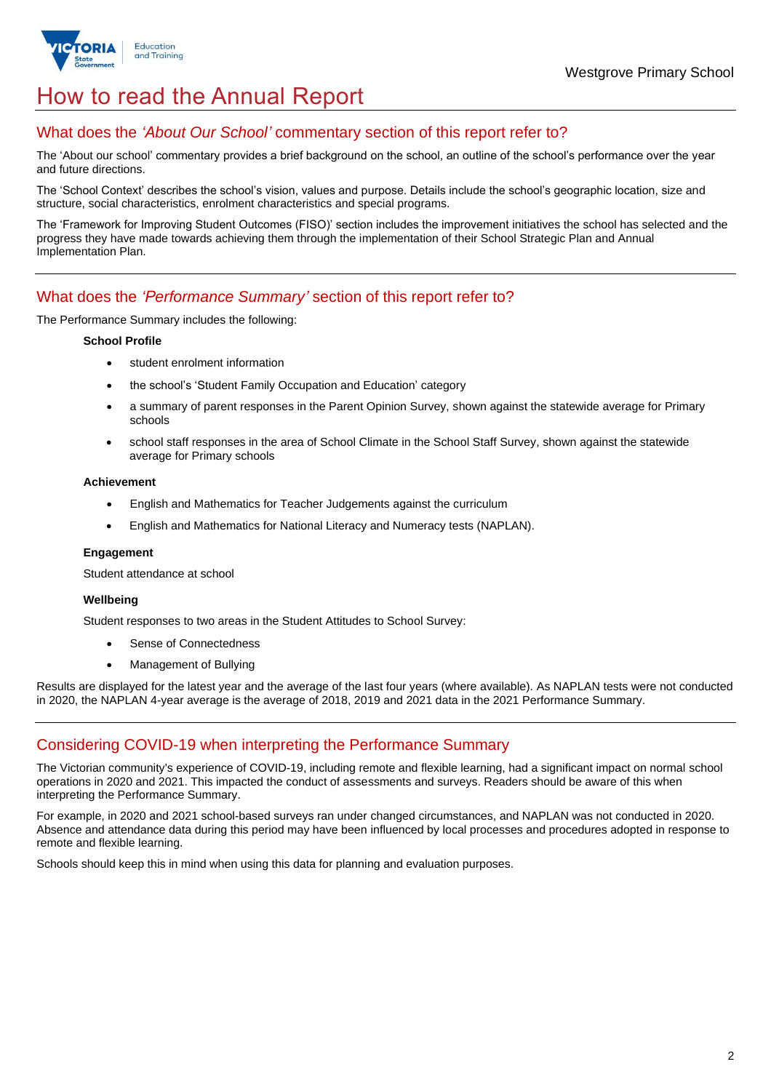

## How to read the Annual Report

### What does the *'About Our School'* commentary section of this report refer to?

The 'About our school' commentary provides a brief background on the school, an outline of the school's performance over the year and future directions.

The 'School Context' describes the school's vision, values and purpose. Details include the school's geographic location, size and structure, social characteristics, enrolment characteristics and special programs.

The 'Framework for Improving Student Outcomes (FISO)' section includes the improvement initiatives the school has selected and the progress they have made towards achieving them through the implementation of their School Strategic Plan and Annual Implementation Plan.

### What does the *'Performance Summary'* section of this report refer to?

The Performance Summary includes the following:

#### **School Profile**

- student enrolment information
- the school's 'Student Family Occupation and Education' category
- a summary of parent responses in the Parent Opinion Survey, shown against the statewide average for Primary schools
- school staff responses in the area of School Climate in the School Staff Survey, shown against the statewide average for Primary schools

#### **Achievement**

- English and Mathematics for Teacher Judgements against the curriculum
- English and Mathematics for National Literacy and Numeracy tests (NAPLAN).

#### **Engagement**

Student attendance at school

#### **Wellbeing**

Student responses to two areas in the Student Attitudes to School Survey:

- Sense of Connectedness
- Management of Bullying

Results are displayed for the latest year and the average of the last four years (where available). As NAPLAN tests were not conducted in 2020, the NAPLAN 4-year average is the average of 2018, 2019 and 2021 data in the 2021 Performance Summary.

### Considering COVID-19 when interpreting the Performance Summary

The Victorian community's experience of COVID-19, including remote and flexible learning, had a significant impact on normal school operations in 2020 and 2021. This impacted the conduct of assessments and surveys. Readers should be aware of this when interpreting the Performance Summary.

For example, in 2020 and 2021 school-based surveys ran under changed circumstances, and NAPLAN was not conducted in 2020. Absence and attendance data during this period may have been influenced by local processes and procedures adopted in response to remote and flexible learning.

Schools should keep this in mind when using this data for planning and evaluation purposes.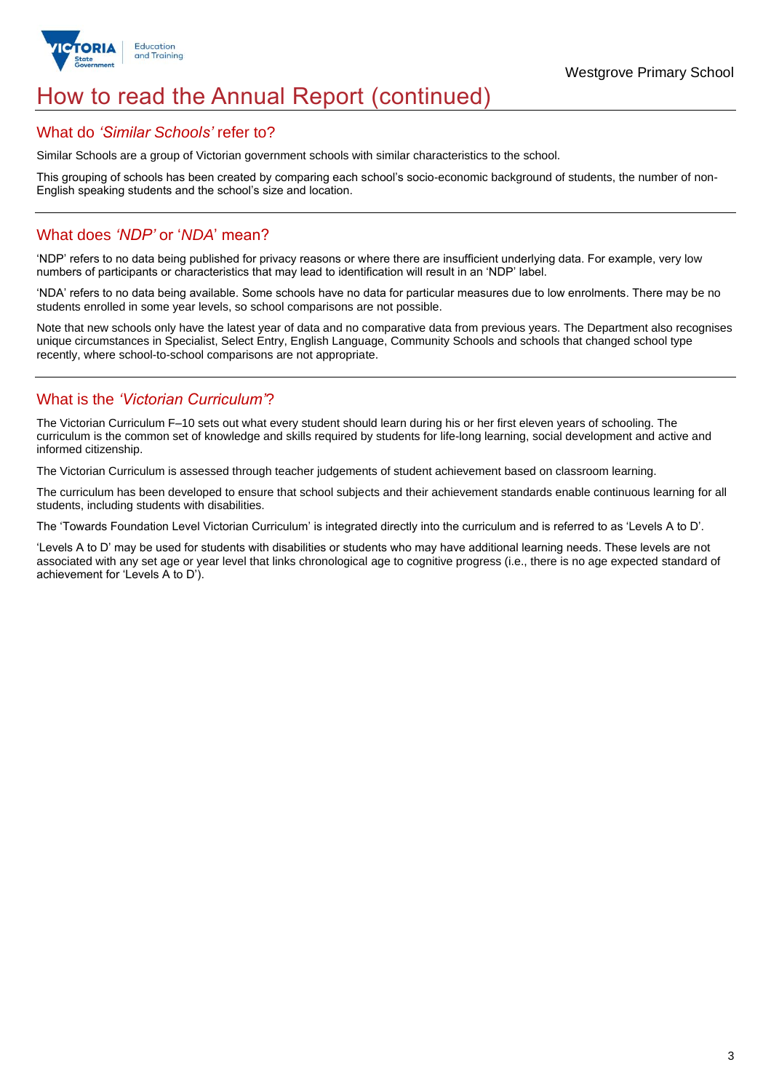

## How to read the Annual Report (continued)

#### What do *'Similar Schools'* refer to?

Similar Schools are a group of Victorian government schools with similar characteristics to the school.

This grouping of schools has been created by comparing each school's socio-economic background of students, the number of non-English speaking students and the school's size and location.

### What does *'NDP'* or '*NDA*' mean?

'NDP' refers to no data being published for privacy reasons or where there are insufficient underlying data. For example, very low numbers of participants or characteristics that may lead to identification will result in an 'NDP' label.

'NDA' refers to no data being available. Some schools have no data for particular measures due to low enrolments. There may be no students enrolled in some year levels, so school comparisons are not possible.

Note that new schools only have the latest year of data and no comparative data from previous years. The Department also recognises unique circumstances in Specialist, Select Entry, English Language, Community Schools and schools that changed school type recently, where school-to-school comparisons are not appropriate.

### What is the *'Victorian Curriculum'*?

The Victorian Curriculum F–10 sets out what every student should learn during his or her first eleven years of schooling. The curriculum is the common set of knowledge and skills required by students for life-long learning, social development and active and informed citizenship.

The Victorian Curriculum is assessed through teacher judgements of student achievement based on classroom learning.

The curriculum has been developed to ensure that school subjects and their achievement standards enable continuous learning for all students, including students with disabilities.

The 'Towards Foundation Level Victorian Curriculum' is integrated directly into the curriculum and is referred to as 'Levels A to D'.

'Levels A to D' may be used for students with disabilities or students who may have additional learning needs. These levels are not associated with any set age or year level that links chronological age to cognitive progress (i.e., there is no age expected standard of achievement for 'Levels A to D').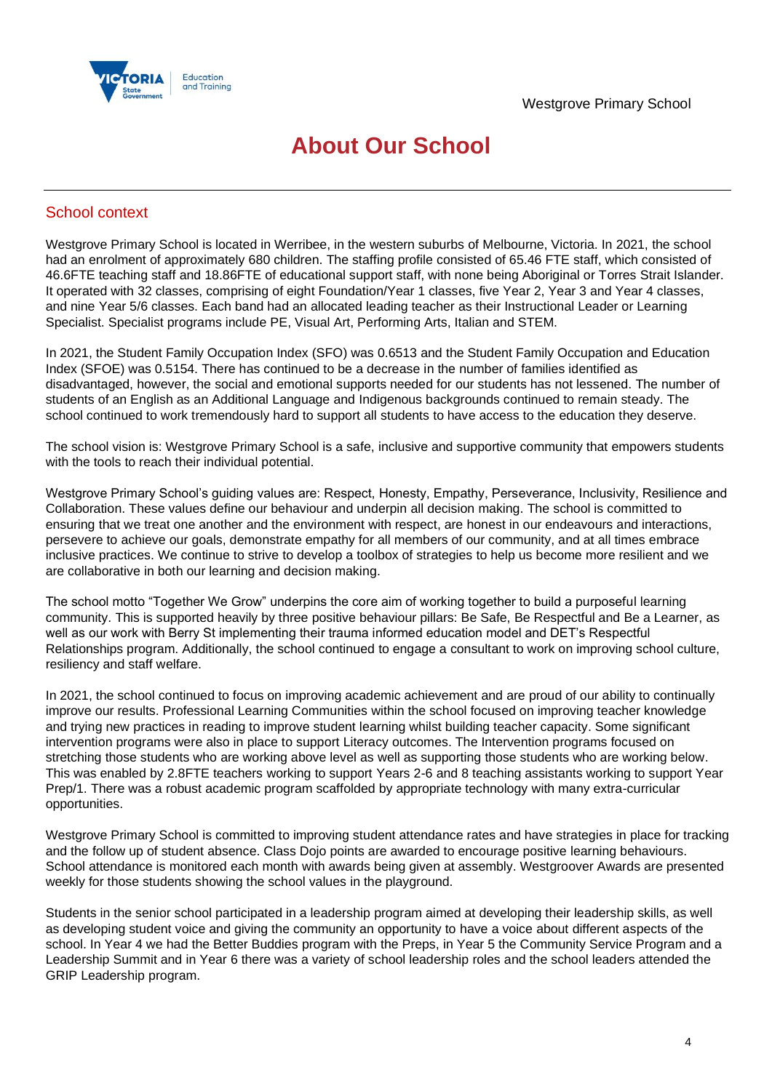

## **About Our School**

### School context

Westgrove Primary School is located in Werribee, in the western suburbs of Melbourne, Victoria. In 2021, the school had an enrolment of approximately 680 children. The staffing profile consisted of 65.46 FTE staff, which consisted of 46.6FTE teaching staff and 18.86FTE of educational support staff, with none being Aboriginal or Torres Strait Islander. It operated with 32 classes, comprising of eight Foundation/Year 1 classes, five Year 2, Year 3 and Year 4 classes, and nine Year 5/6 classes. Each band had an allocated leading teacher as their Instructional Leader or Learning Specialist. Specialist programs include PE, Visual Art, Performing Arts, Italian and STEM.

In 2021, the Student Family Occupation Index (SFO) was 0.6513 and the Student Family Occupation and Education Index (SFOE) was 0.5154. There has continued to be a decrease in the number of families identified as disadvantaged, however, the social and emotional supports needed for our students has not lessened. The number of students of an English as an Additional Language and Indigenous backgrounds continued to remain steady. The school continued to work tremendously hard to support all students to have access to the education they deserve.

The school vision is: Westgrove Primary School is a safe, inclusive and supportive community that empowers students with the tools to reach their individual potential.

Westgrove Primary School's guiding values are: Respect, Honesty, Empathy, Perseverance, Inclusivity, Resilience and Collaboration. These values define our behaviour and underpin all decision making. The school is committed to ensuring that we treat one another and the environment with respect, are honest in our endeavours and interactions, persevere to achieve our goals, demonstrate empathy for all members of our community, and at all times embrace inclusive practices. We continue to strive to develop a toolbox of strategies to help us become more resilient and we are collaborative in both our learning and decision making.

The school motto "Together We Grow" underpins the core aim of working together to build a purposeful learning community. This is supported heavily by three positive behaviour pillars: Be Safe, Be Respectful and Be a Learner, as well as our work with Berry St implementing their trauma informed education model and DET's Respectful Relationships program. Additionally, the school continued to engage a consultant to work on improving school culture, resiliency and staff welfare.

In 2021, the school continued to focus on improving academic achievement and are proud of our ability to continually improve our results. Professional Learning Communities within the school focused on improving teacher knowledge and trying new practices in reading to improve student learning whilst building teacher capacity. Some significant intervention programs were also in place to support Literacy outcomes. The Intervention programs focused on stretching those students who are working above level as well as supporting those students who are working below. This was enabled by 2.8FTE teachers working to support Years 2-6 and 8 teaching assistants working to support Year Prep/1. There was a robust academic program scaffolded by appropriate technology with many extra-curricular opportunities.

Westgrove Primary School is committed to improving student attendance rates and have strategies in place for tracking and the follow up of student absence. Class Dojo points are awarded to encourage positive learning behaviours. School attendance is monitored each month with awards being given at assembly. Westgroover Awards are presented weekly for those students showing the school values in the playground.

Students in the senior school participated in a leadership program aimed at developing their leadership skills, as well as developing student voice and giving the community an opportunity to have a voice about different aspects of the school. In Year 4 we had the Better Buddies program with the Preps, in Year 5 the Community Service Program and a Leadership Summit and in Year 6 there was a variety of school leadership roles and the school leaders attended the GRIP Leadership program.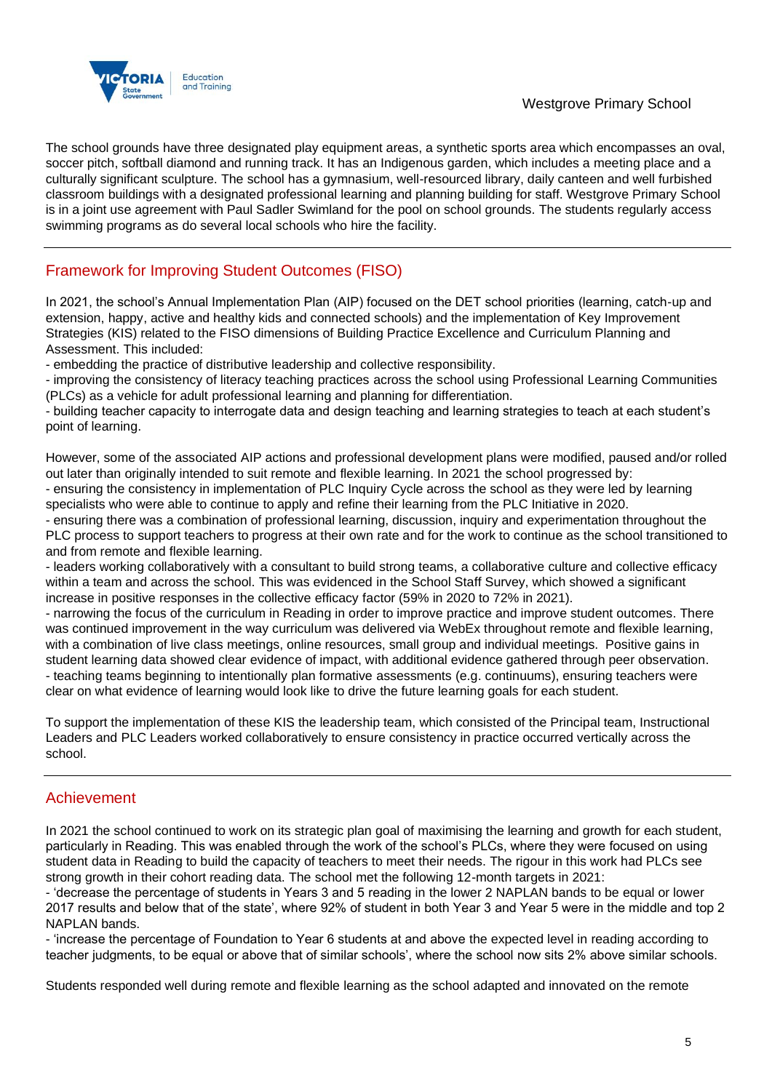

The school grounds have three designated play equipment areas, a synthetic sports area which encompasses an oval, soccer pitch, softball diamond and running track. It has an Indigenous garden, which includes a meeting place and a culturally significant sculpture. The school has a gymnasium, well-resourced library, daily canteen and well furbished classroom buildings with a designated professional learning and planning building for staff. Westgrove Primary School is in a joint use agreement with Paul Sadler Swimland for the pool on school grounds. The students regularly access swimming programs as do several local schools who hire the facility.

### Framework for Improving Student Outcomes (FISO)

In 2021, the school's Annual Implementation Plan (AIP) focused on the DET school priorities (learning, catch-up and extension, happy, active and healthy kids and connected schools) and the implementation of Key Improvement Strategies (KIS) related to the FISO dimensions of Building Practice Excellence and Curriculum Planning and Assessment. This included:

- embedding the practice of distributive leadership and collective responsibility.

- improving the consistency of literacy teaching practices across the school using Professional Learning Communities (PLCs) as a vehicle for adult professional learning and planning for differentiation.

- building teacher capacity to interrogate data and design teaching and learning strategies to teach at each student's point of learning.

However, some of the associated AIP actions and professional development plans were modified, paused and/or rolled out later than originally intended to suit remote and flexible learning. In 2021 the school progressed by:

- ensuring the consistency in implementation of PLC Inquiry Cycle across the school as they were led by learning specialists who were able to continue to apply and refine their learning from the PLC Initiative in 2020.

- ensuring there was a combination of professional learning, discussion, inquiry and experimentation throughout the PLC process to support teachers to progress at their own rate and for the work to continue as the school transitioned to and from remote and flexible learning.

- leaders working collaboratively with a consultant to build strong teams, a collaborative culture and collective efficacy within a team and across the school. This was evidenced in the School Staff Survey, which showed a significant increase in positive responses in the collective efficacy factor (59% in 2020 to 72% in 2021).

- narrowing the focus of the curriculum in Reading in order to improve practice and improve student outcomes. There was continued improvement in the way curriculum was delivered via WebEx throughout remote and flexible learning, with a combination of live class meetings, online resources, small group and individual meetings. Positive gains in student learning data showed clear evidence of impact, with additional evidence gathered through peer observation. - teaching teams beginning to intentionally plan formative assessments (e.g. continuums), ensuring teachers were clear on what evidence of learning would look like to drive the future learning goals for each student.

To support the implementation of these KIS the leadership team, which consisted of the Principal team, Instructional Leaders and PLC Leaders worked collaboratively to ensure consistency in practice occurred vertically across the school.

### Achievement

In 2021 the school continued to work on its strategic plan goal of maximising the learning and growth for each student, particularly in Reading. This was enabled through the work of the school's PLCs, where they were focused on using student data in Reading to build the capacity of teachers to meet their needs. The rigour in this work had PLCs see strong growth in their cohort reading data. The school met the following 12-month targets in 2021:

- 'decrease the percentage of students in Years 3 and 5 reading in the lower 2 NAPLAN bands to be equal or lower 2017 results and below that of the state', where 92% of student in both Year 3 and Year 5 were in the middle and top 2 NAPLAN bands.

- 'increase the percentage of Foundation to Year 6 students at and above the expected level in reading according to teacher judgments, to be equal or above that of similar schools', where the school now sits 2% above similar schools.

Students responded well during remote and flexible learning as the school adapted and innovated on the remote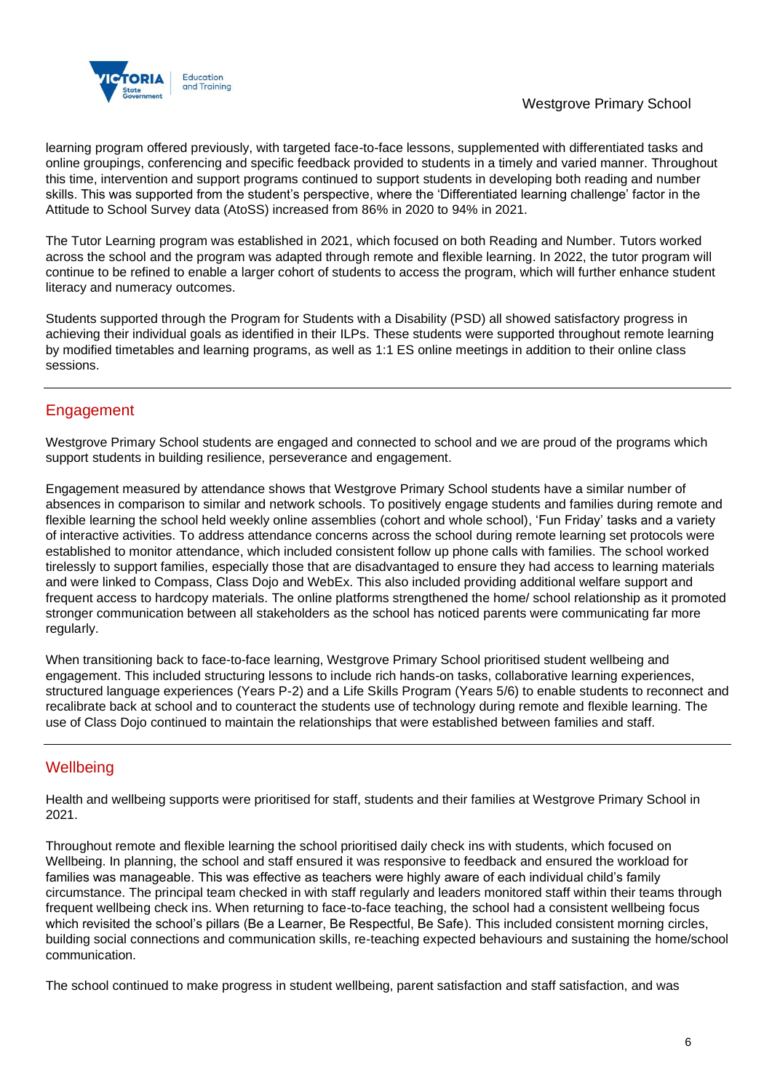

learning program offered previously, with targeted face-to-face lessons, supplemented with differentiated tasks and online groupings, conferencing and specific feedback provided to students in a timely and varied manner. Throughout this time, intervention and support programs continued to support students in developing both reading and number skills. This was supported from the student's perspective, where the 'Differentiated learning challenge' factor in the Attitude to School Survey data (AtoSS) increased from 86% in 2020 to 94% in 2021.

The Tutor Learning program was established in 2021, which focused on both Reading and Number. Tutors worked across the school and the program was adapted through remote and flexible learning. In 2022, the tutor program will continue to be refined to enable a larger cohort of students to access the program, which will further enhance student literacy and numeracy outcomes.

Students supported through the Program for Students with a Disability (PSD) all showed satisfactory progress in achieving their individual goals as identified in their ILPs. These students were supported throughout remote learning by modified timetables and learning programs, as well as 1:1 ES online meetings in addition to their online class sessions.

### Engagement

Westgrove Primary School students are engaged and connected to school and we are proud of the programs which support students in building resilience, perseverance and engagement.

Engagement measured by attendance shows that Westgrove Primary School students have a similar number of absences in comparison to similar and network schools. To positively engage students and families during remote and flexible learning the school held weekly online assemblies (cohort and whole school), 'Fun Friday' tasks and a variety of interactive activities. To address attendance concerns across the school during remote learning set protocols were established to monitor attendance, which included consistent follow up phone calls with families. The school worked tirelessly to support families, especially those that are disadvantaged to ensure they had access to learning materials and were linked to Compass, Class Dojo and WebEx. This also included providing additional welfare support and frequent access to hardcopy materials. The online platforms strengthened the home/ school relationship as it promoted stronger communication between all stakeholders as the school has noticed parents were communicating far more regularly.

When transitioning back to face-to-face learning, Westgrove Primary School prioritised student wellbeing and engagement. This included structuring lessons to include rich hands-on tasks, collaborative learning experiences, structured language experiences (Years P-2) and a Life Skills Program (Years 5/6) to enable students to reconnect and recalibrate back at school and to counteract the students use of technology during remote and flexible learning. The use of Class Dojo continued to maintain the relationships that were established between families and staff.

### **Wellbeing**

Health and wellbeing supports were prioritised for staff, students and their families at Westgrove Primary School in 2021.

Throughout remote and flexible learning the school prioritised daily check ins with students, which focused on Wellbeing. In planning, the school and staff ensured it was responsive to feedback and ensured the workload for families was manageable. This was effective as teachers were highly aware of each individual child's family circumstance. The principal team checked in with staff regularly and leaders monitored staff within their teams through frequent wellbeing check ins. When returning to face-to-face teaching, the school had a consistent wellbeing focus which revisited the school's pillars (Be a Learner, Be Respectful, Be Safe). This included consistent morning circles, building social connections and communication skills, re-teaching expected behaviours and sustaining the home/school communication.

The school continued to make progress in student wellbeing, parent satisfaction and staff satisfaction, and was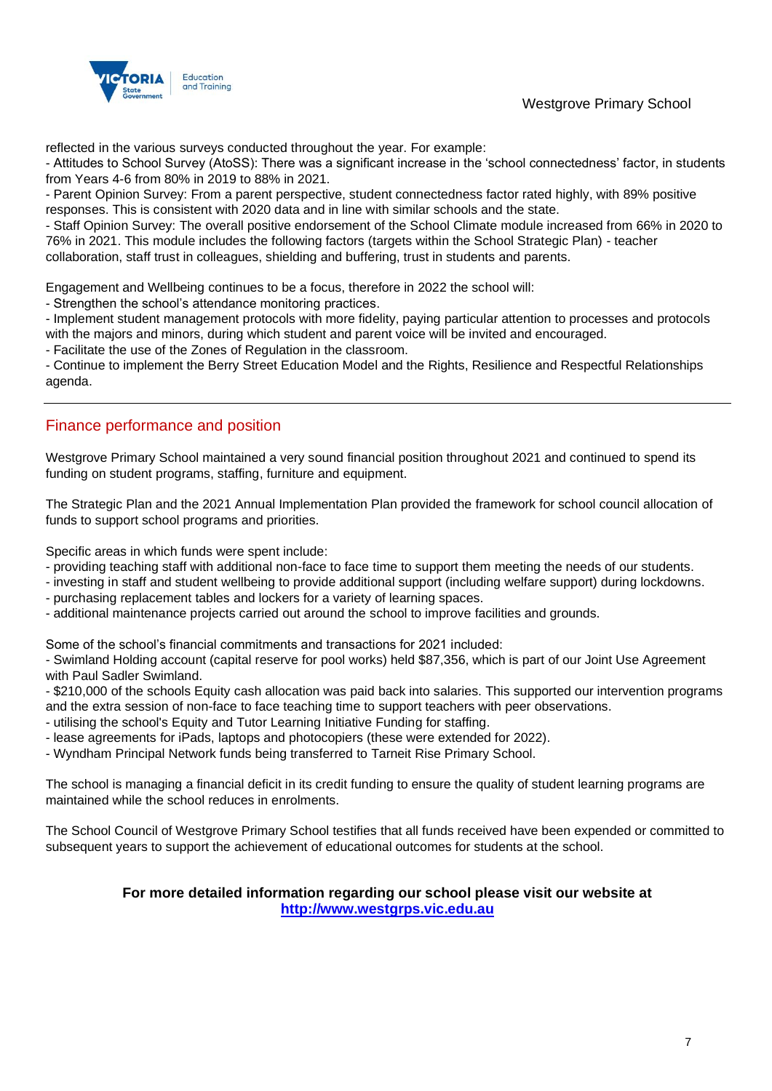Westgrove Primary School



reflected in the various surveys conducted throughout the year. For example:

- Attitudes to School Survey (AtoSS): There was a significant increase in the 'school connectedness' factor, in students from Years 4-6 from 80% in 2019 to 88% in 2021.

- Parent Opinion Survey: From a parent perspective, student connectedness factor rated highly, with 89% positive responses. This is consistent with 2020 data and in line with similar schools and the state.

- Staff Opinion Survey: The overall positive endorsement of the School Climate module increased from 66% in 2020 to 76% in 2021. This module includes the following factors (targets within the School Strategic Plan) - teacher collaboration, staff trust in colleagues, shielding and buffering, trust in students and parents.

Engagement and Wellbeing continues to be a focus, therefore in 2022 the school will:

- Strengthen the school's attendance monitoring practices.

- Implement student management protocols with more fidelity, paying particular attention to processes and protocols with the majors and minors, during which student and parent voice will be invited and encouraged.

- Facilitate the use of the Zones of Regulation in the classroom.

- Continue to implement the Berry Street Education Model and the Rights, Resilience and Respectful Relationships agenda.

### Finance performance and position

Westgrove Primary School maintained a very sound financial position throughout 2021 and continued to spend its funding on student programs, staffing, furniture and equipment.

The Strategic Plan and the 2021 Annual Implementation Plan provided the framework for school council allocation of funds to support school programs and priorities.

Specific areas in which funds were spent include:

- providing teaching staff with additional non-face to face time to support them meeting the needs of our students.
- investing in staff and student wellbeing to provide additional support (including welfare support) during lockdowns.
- purchasing replacement tables and lockers for a variety of learning spaces.
- additional maintenance projects carried out around the school to improve facilities and grounds.

Some of the school's financial commitments and transactions for 2021 included:

- Swimland Holding account (capital reserve for pool works) held \$87,356, which is part of our Joint Use Agreement with Paul Sadler Swimland.

- \$210,000 of the schools Equity cash allocation was paid back into salaries. This supported our intervention programs and the extra session of non-face to face teaching time to support teachers with peer observations.

- utilising the school's Equity and Tutor Learning Initiative Funding for staffing.
- lease agreements for iPads, laptops and photocopiers (these were extended for 2022).
- Wyndham Principal Network funds being transferred to Tarneit Rise Primary School.

The school is managing a financial deficit in its credit funding to ensure the quality of student learning programs are maintained while the school reduces in enrolments.

The School Council of Westgrove Primary School testifies that all funds received have been expended or committed to subsequent years to support the achievement of educational outcomes for students at the school.

### **For more detailed information regarding our school please visit our website at [http://www.westgrps.vic.edu.au](http://www.westgrps.vic.edu.au/)**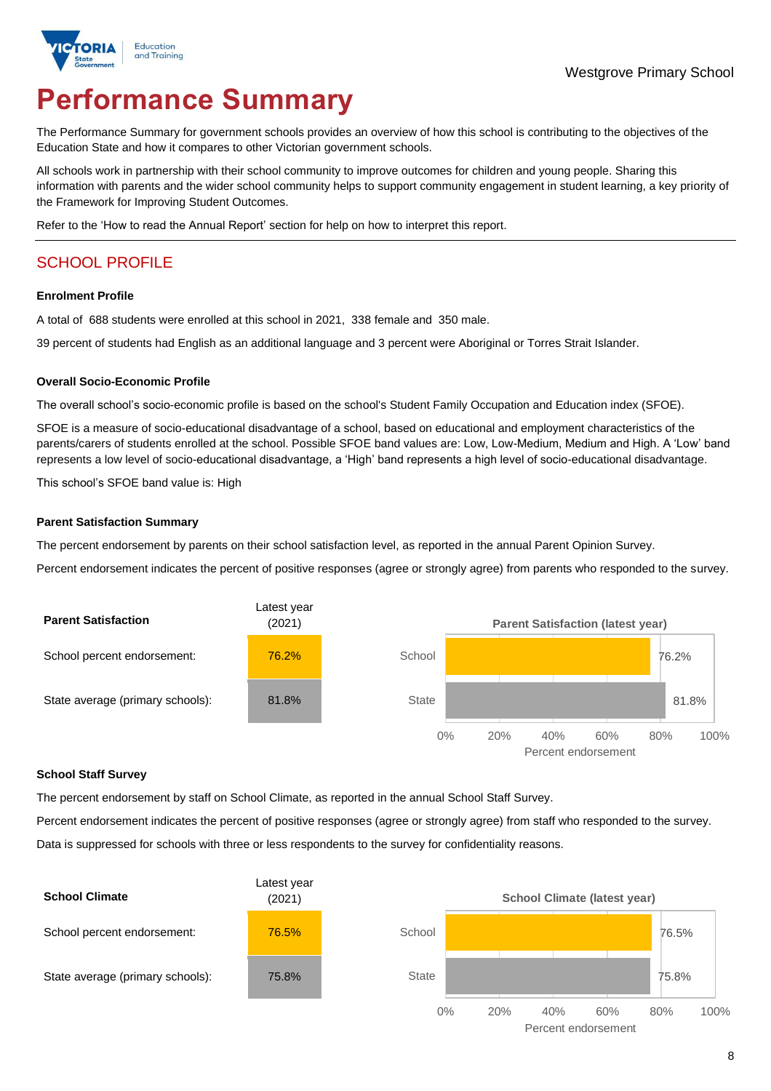

# **Performance Summary**

The Performance Summary for government schools provides an overview of how this school is contributing to the objectives of the Education State and how it compares to other Victorian government schools.

All schools work in partnership with their school community to improve outcomes for children and young people. Sharing this information with parents and the wider school community helps to support community engagement in student learning, a key priority of the Framework for Improving Student Outcomes.

Refer to the 'How to read the Annual Report' section for help on how to interpret this report.

### SCHOOL PROFILE

#### **Enrolment Profile**

A total of 688 students were enrolled at this school in 2021, 338 female and 350 male.

39 percent of students had English as an additional language and 3 percent were Aboriginal or Torres Strait Islander.

#### **Overall Socio-Economic Profile**

The overall school's socio-economic profile is based on the school's Student Family Occupation and Education index (SFOE).

SFOE is a measure of socio-educational disadvantage of a school, based on educational and employment characteristics of the parents/carers of students enrolled at the school. Possible SFOE band values are: Low, Low-Medium, Medium and High. A 'Low' band represents a low level of socio-educational disadvantage, a 'High' band represents a high level of socio-educational disadvantage.

This school's SFOE band value is: High

#### **Parent Satisfaction Summary**

The percent endorsement by parents on their school satisfaction level, as reported in the annual Parent Opinion Survey.

Percent endorsement indicates the percent of positive responses (agree or strongly agree) from parents who responded to the survey.



#### **School Staff Survey**

The percent endorsement by staff on School Climate, as reported in the annual School Staff Survey.

Percent endorsement indicates the percent of positive responses (agree or strongly agree) from staff who responded to the survey.

Data is suppressed for schools with three or less respondents to the survey for confidentiality reasons.

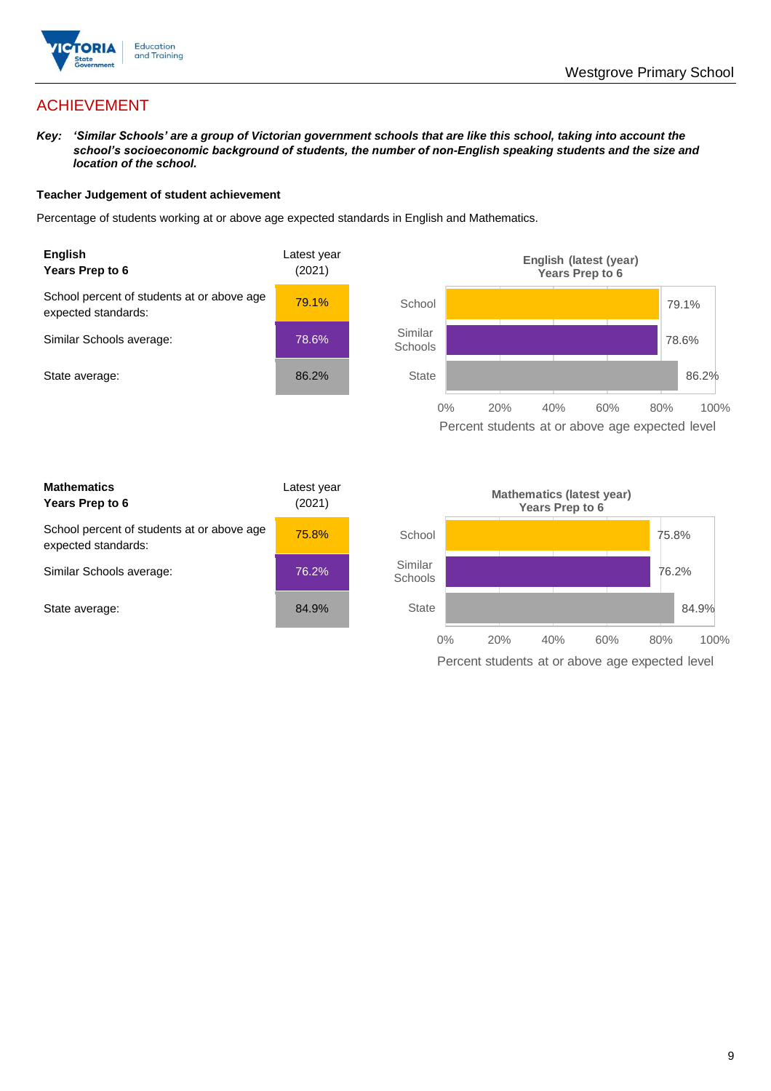

### ACHIEVEMENT

*Key: 'Similar Schools' are a group of Victorian government schools that are like this school, taking into account the school's socioeconomic background of students, the number of non-English speaking students and the size and location of the school.*

#### **Teacher Judgement of student achievement**

Percentage of students working at or above age expected standards in English and Mathematics.



Percent students at or above age expected level

| <b>Mathematics</b><br>Years Prep to 6                             | Latest year<br>(2021) |
|-------------------------------------------------------------------|-----------------------|
| School percent of students at or above age<br>expected standards: | 75.8%                 |
| Similar Schools average:                                          | 76.2%                 |
| State average:                                                    | 84.9%                 |

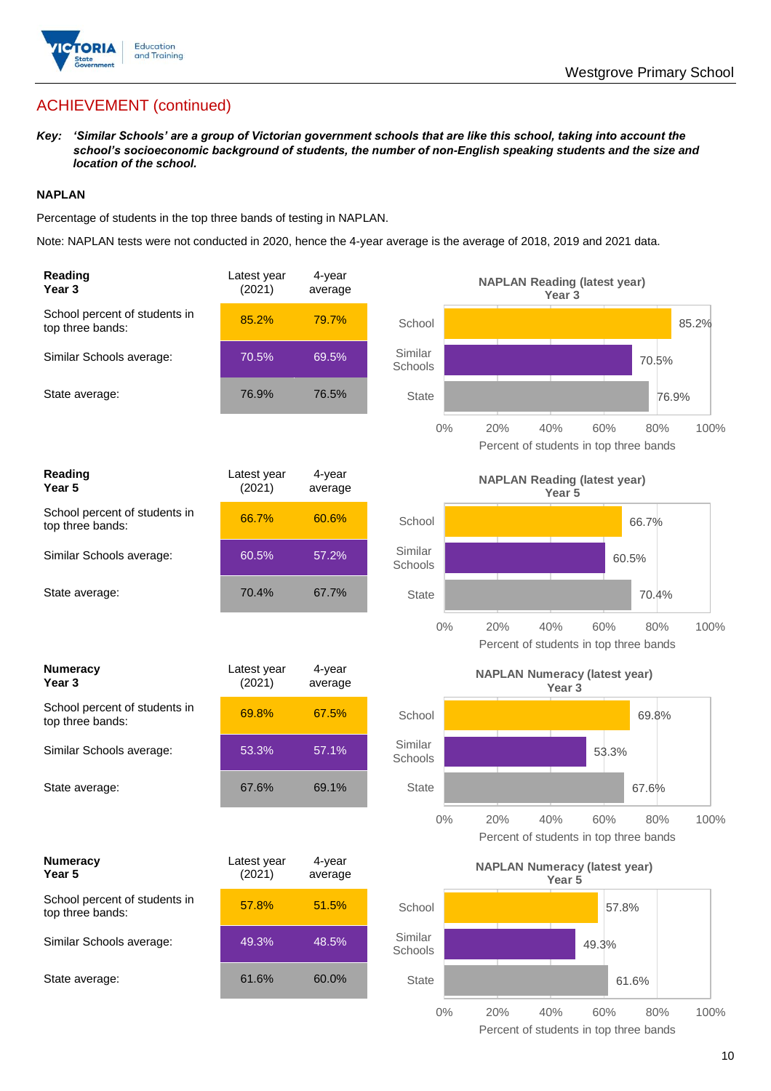

### ACHIEVEMENT (continued)

*Key: 'Similar Schools' are a group of Victorian government schools that are like this school, taking into account the school's socioeconomic background of students, the number of non-English speaking students and the size and location of the school.*

#### **NAPLAN**

Percentage of students in the top three bands of testing in NAPLAN.

Note: NAPLAN tests were not conducted in 2020, hence the 4-year average is the average of 2018, 2019 and 2021 data.

| Reading<br>Year <sub>3</sub>                      | Latest year<br>(2021) | 4-year<br>average |                    | <b>NAPLAN Reading (latest year)</b><br>Year <sub>3</sub>                   |
|---------------------------------------------------|-----------------------|-------------------|--------------------|----------------------------------------------------------------------------|
| School percent of students in<br>top three bands: | 85.2%                 | 79.7%             | School             | 85.2%                                                                      |
| Similar Schools average:                          | 70.5%                 | 69.5%             | Similar<br>Schools | 70.5%                                                                      |
| State average:                                    | 76.9%                 | 76.5%             | <b>State</b>       | 76.9%                                                                      |
|                                                   |                       |                   | $0\%$              | 60%<br>100%<br>20%<br>40%<br>80%<br>Percent of students in top three bands |
| Reading<br>Year <sub>5</sub>                      | Latest year<br>(2021) | 4-year<br>average |                    | <b>NAPLAN Reading (latest year)</b><br>Year 5                              |
| School percent of students in<br>top three bands: | 66.7%                 | 60.6%             | School             | 66.7%                                                                      |
| Similar Schools average:                          | 60.5%                 | 57.2%             | Similar<br>Schools | 60.5%                                                                      |
| State average:                                    | 70.4%                 | 67.7%             | <b>State</b>       | 70.4%                                                                      |
|                                                   |                       |                   | $0\%$              | 20%<br>40%<br>60%<br>80%<br>100%<br>Percent of students in top three bands |
| <b>Numeracy</b><br>Year <sub>3</sub>              | Latest year<br>(2021) | 4-year<br>average |                    | <b>NAPLAN Numeracy (latest year)</b><br>Year <sub>3</sub>                  |
| School percent of students in<br>top three bands: | 69.8%                 | 67.5%             | School             | 69.8%                                                                      |
| Similar Schools average:                          | 53.3%                 | 57.1%             | Similar            |                                                                            |
|                                                   |                       |                   | Schools            | 53.3%                                                                      |
| State average:                                    | 67.6%                 | 69.1%             | <b>State</b>       | 67.6%                                                                      |
|                                                   |                       |                   | $0\%$              | 20%<br>40%<br>60%<br>80%<br>100%<br>Percent of students in top three bands |
| <b>Numeracy</b><br>Year 5                         | Latest year<br>(2021) | 4-year<br>average |                    | <b>NAPLAN Numeracy (latest year)</b><br>Year 5                             |
| School percent of students in<br>top three bands: | 57.8%                 | 51.5%             | School             | 57.8%                                                                      |
| Similar Schools average:                          | 49.3%                 | 48.5%             | Similar<br>Schools | 49.3%                                                                      |
| State average:                                    | 61.6%                 | 60.0%             | State              | 61.6%                                                                      |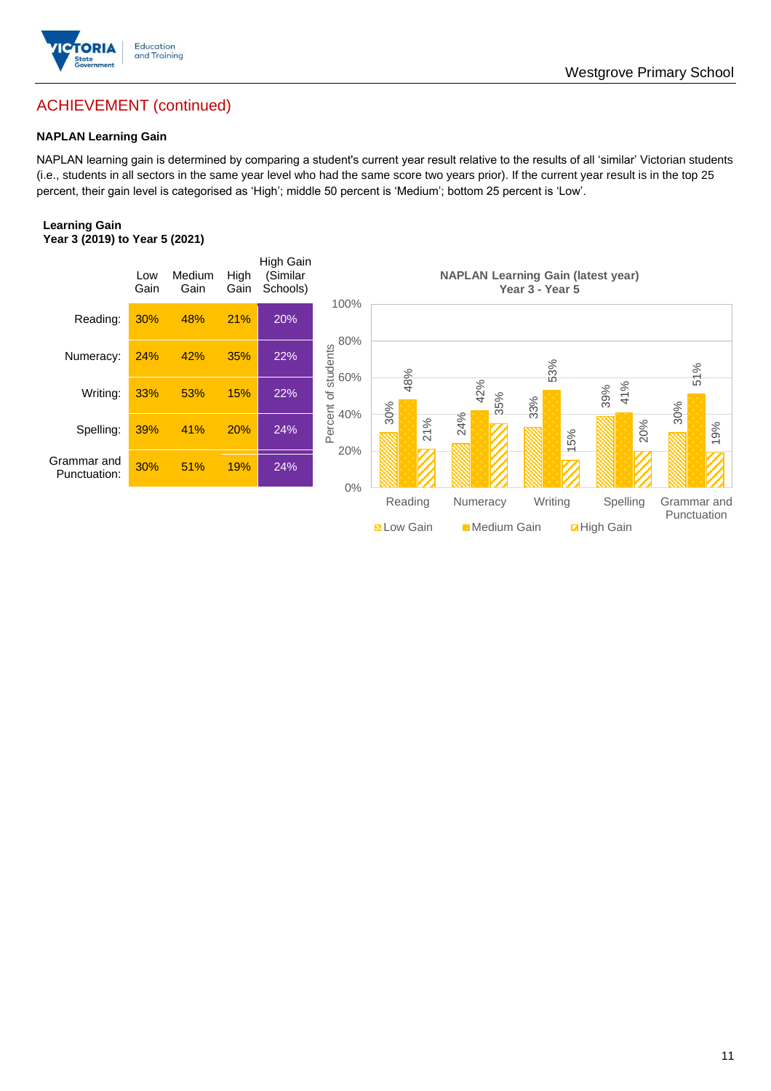

### ACHIEVEMENT (continued)

#### **NAPLAN Learning Gain**

NAPLAN learning gain is determined by comparing a student's current year result relative to the results of all 'similar' Victorian students (i.e., students in all sectors in the same year level who had the same score two years prior). If the current year result is in the top 25 percent, their gain level is categorised as 'High'; middle 50 percent is 'Medium'; bottom 25 percent is 'Low'.

#### **Learning Gain Year 3 (2019) to Year 5 (2021)**



Westgrove Primary School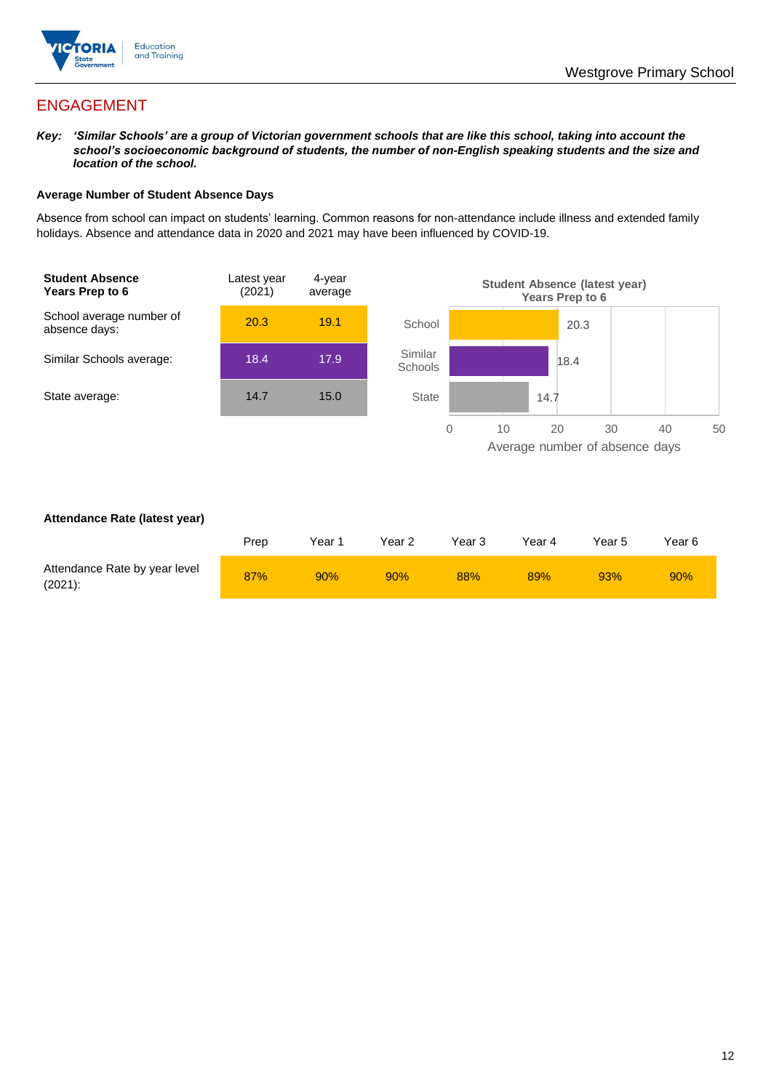

### ENGAGEMENT

*Key: 'Similar Schools' are a group of Victorian government schools that are like this school, taking into account the school's socioeconomic background of students, the number of non-English speaking students and the size and location of the school.*

#### **Average Number of Student Absence Days**

Absence from school can impact on students' learning. Common reasons for non-attendance include illness and extended family holidays. Absence and attendance data in 2020 and 2021 may have been influenced by COVID-19.



#### **Attendance Rate (latest year)**

|                                             | Prep | Year 1 | Year 2 | Year 3 | Year 4 | Year 5 | Year 6 |
|---------------------------------------------|------|--------|--------|--------|--------|--------|--------|
| Attendance Rate by year level<br>$(2021)$ : | 87%  | 90%    | 90%    | 88%    | 89%    | 93%    | 90%    |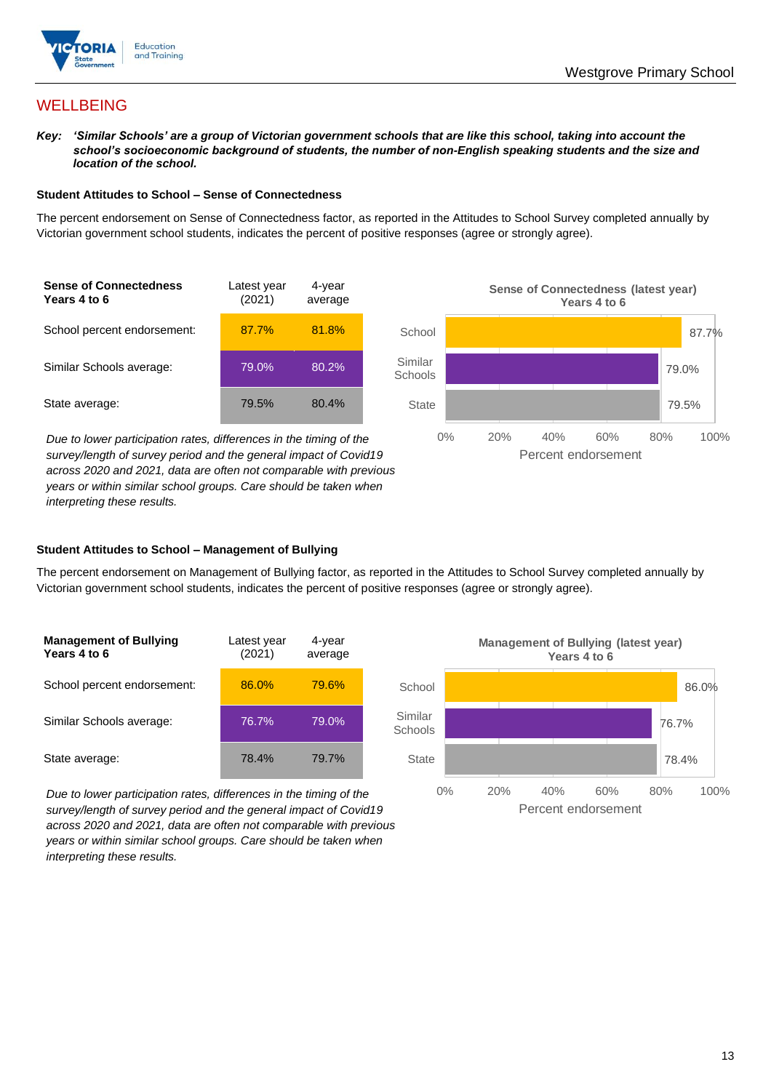

### **WELLBEING**

*Key: 'Similar Schools' are a group of Victorian government schools that are like this school, taking into account the school's socioeconomic background of students, the number of non-English speaking students and the size and location of the school.*

#### **Student Attitudes to School – Sense of Connectedness**

The percent endorsement on Sense of Connectedness factor, as reported in the Attitudes to School Survey completed annually by Victorian government school students, indicates the percent of positive responses (agree or strongly agree).



*Due to lower participation rates, differences in the timing of the survey/length of survey period and the general impact of Covid19 across 2020 and 2021, data are often not comparable with previous years or within similar school groups. Care should be taken when interpreting these results.*



#### **Student Attitudes to School – Management of Bullying**

The percent endorsement on Management of Bullying factor, as reported in the Attitudes to School Survey completed annually by Victorian government school students, indicates the percent of positive responses (agree or strongly agree).

| <b>Management of Bullying</b><br>Years 4 to 6 | Latest year<br>(2021) | 4-year<br>average |  |
|-----------------------------------------------|-----------------------|-------------------|--|
| School percent endorsement:                   | 86.0%                 | 79.6%             |  |
| Similar Schools average:                      | 76.7%                 | 79.0%             |  |
| State average:                                | 78.4%                 | 79.7%             |  |

*Due to lower participation rates, differences in the timing of the survey/length of survey period and the general impact of Covid19 across 2020 and 2021, data are often not comparable with previous years or within similar school groups. Care should be taken when interpreting these results.*

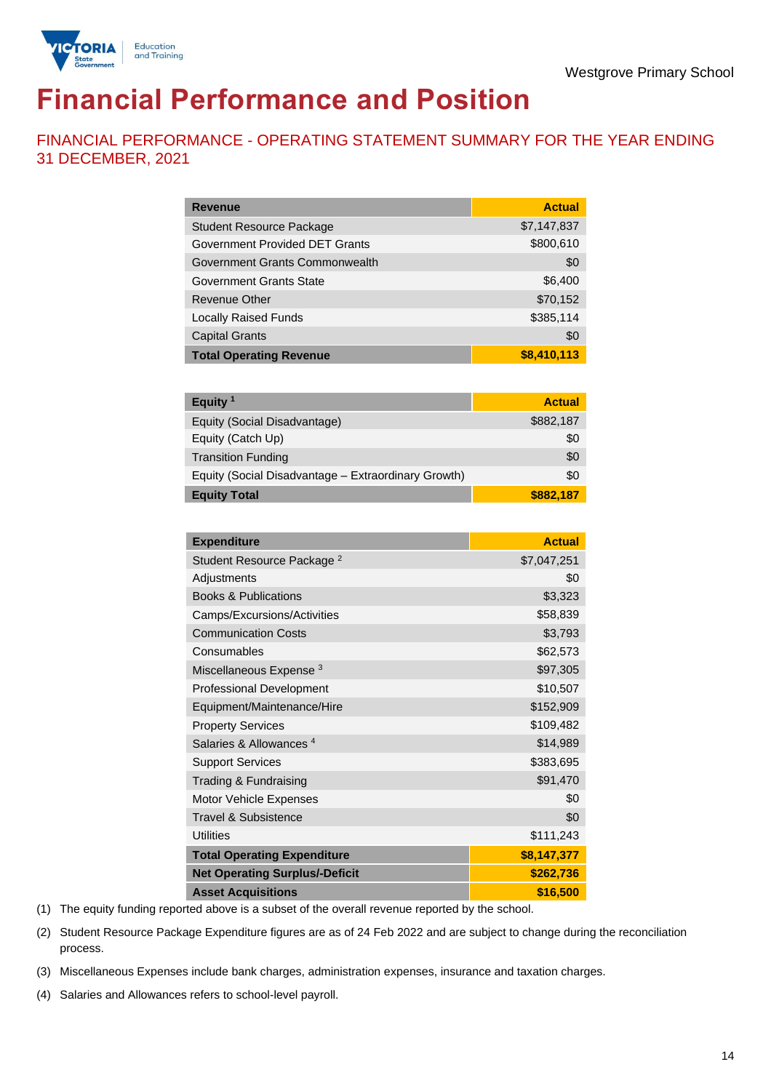

# **Financial Performance and Position**

FINANCIAL PERFORMANCE - OPERATING STATEMENT SUMMARY FOR THE YEAR ENDING 31 DECEMBER, 2021

| <b>Revenue</b>                  | <b>Actual</b> |
|---------------------------------|---------------|
| <b>Student Resource Package</b> | \$7,147,837   |
| Government Provided DET Grants  | \$800,610     |
| Government Grants Commonwealth  | \$0           |
| <b>Government Grants State</b>  | \$6,400       |
| <b>Revenue Other</b>            | \$70,152      |
| <b>Locally Raised Funds</b>     | \$385,114     |
| <b>Capital Grants</b>           | \$0           |
| <b>Total Operating Revenue</b>  | \$8,410,113   |

| Equity $1$                                          | <b>Actual</b> |
|-----------------------------------------------------|---------------|
| Equity (Social Disadvantage)                        | \$882,187     |
| Equity (Catch Up)                                   | \$0           |
| <b>Transition Funding</b>                           | \$0           |
| Equity (Social Disadvantage - Extraordinary Growth) | \$0           |
| <b>Equity Total</b>                                 | \$882,187     |

| <b>Expenditure</b>                    | <b>Actual</b> |
|---------------------------------------|---------------|
| Student Resource Package <sup>2</sup> | \$7,047,251   |
| Adjustments                           | \$0           |
| <b>Books &amp; Publications</b>       | \$3,323       |
| Camps/Excursions/Activities           | \$58,839      |
| <b>Communication Costs</b>            | \$3,793       |
| Consumables                           | \$62,573      |
| Miscellaneous Expense <sup>3</sup>    | \$97,305      |
| <b>Professional Development</b>       | \$10,507      |
| Equipment/Maintenance/Hire            | \$152,909     |
| <b>Property Services</b>              | \$109,482     |
| Salaries & Allowances <sup>4</sup>    | \$14,989      |
| <b>Support Services</b>               | \$383,695     |
| Trading & Fundraising                 | \$91,470      |
| Motor Vehicle Expenses                | \$0           |
| Travel & Subsistence                  | \$0           |
| <b>Utilities</b>                      | \$111,243     |
| <b>Total Operating Expenditure</b>    | \$8,147,377   |
| <b>Net Operating Surplus/-Deficit</b> | \$262,736     |
| <b>Asset Acquisitions</b>             | \$16,500      |

(1) The equity funding reported above is a subset of the overall revenue reported by the school.

(2) Student Resource Package Expenditure figures are as of 24 Feb 2022 and are subject to change during the reconciliation process.

(3) Miscellaneous Expenses include bank charges, administration expenses, insurance and taxation charges.

(4) Salaries and Allowances refers to school-level payroll.